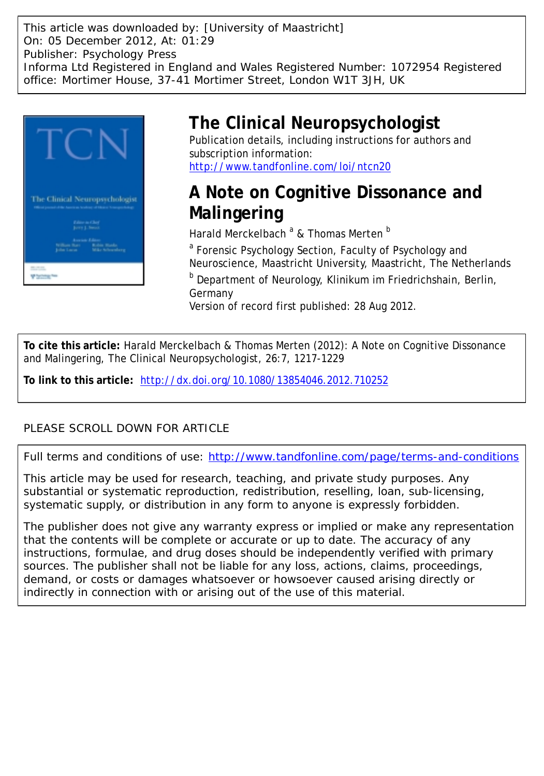This article was downloaded by: [University of Maastricht] On: 05 December 2012, At: 01:29 Publisher: Psychology Press Informa Ltd Registered in England and Wales Registered Number: 1072954 Registered office: Mortimer House, 37-41 Mortimer Street, London W1T 3JH, UK



# **The Clinical Neuropsychologist**

Publication details, including instructions for authors and subscription information: <http://www.tandfonline.com/loi/ntcn20>

# **A Note on Cognitive Dissonance and Malingering**

Harald Merckelbach <sup>a</sup> & Thomas Merten <sup>b</sup> <sup>a</sup> Forensic Psychology Section, Faculty of Psychology and Neuroscience, Maastricht University, Maastricht, The Netherlands **b** Department of Neurology, Klinikum im Friedrichshain, Berlin, Germany

Version of record first published: 28 Aug 2012.

**To cite this article:** Harald Merckelbach & Thomas Merten (2012): A Note on Cognitive Dissonance and Malingering, The Clinical Neuropsychologist, 26:7, 1217-1229

**To link to this article:** <http://dx.doi.org/10.1080/13854046.2012.710252>

# PLEASE SCROLL DOWN FOR ARTICLE

Full terms and conditions of use:<http://www.tandfonline.com/page/terms-and-conditions>

This article may be used for research, teaching, and private study purposes. Any substantial or systematic reproduction, redistribution, reselling, loan, sub-licensing, systematic supply, or distribution in any form to anyone is expressly forbidden.

The publisher does not give any warranty express or implied or make any representation that the contents will be complete or accurate or up to date. The accuracy of any instructions, formulae, and drug doses should be independently verified with primary sources. The publisher shall not be liable for any loss, actions, claims, proceedings, demand, or costs or damages whatsoever or howsoever caused arising directly or indirectly in connection with or arising out of the use of this material.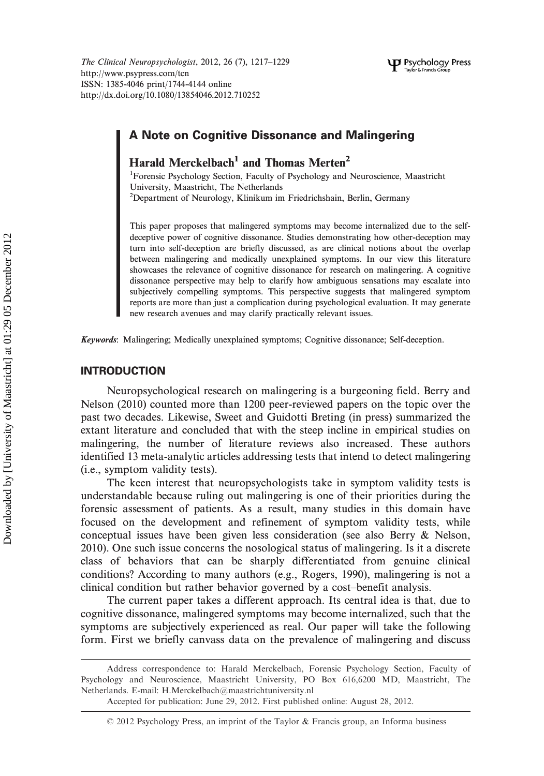The Clinical Neuropsychologist, 2012, 26 (7), 1217–1229 http://www.psypress.com/tcn ISSN: 1385-4046 print/1744-4144 online http://dx.doi.org/10.1080/13854046.2012.710252

# A Note on Cognitive Dissonance and Malingering

# Harald Merckelbach<sup>1</sup> and Thomas Merten<sup>2</sup>

<sup>1</sup>Forensic Psychology Section, Faculty of Psychology and Neuroscience, Maastricht University, Maastricht, The Netherlands <sup>2</sup>Department of Neurology, Klinikum im Friedrichshain, Berlin, Germany

This paper proposes that malingered symptoms may become internalized due to the selfdeceptive power of cognitive dissonance. Studies demonstrating how other-deception may turn into self-deception are briefly discussed, as are clinical notions about the overlap between malingering and medically unexplained symptoms. In our view this literature showcases the relevance of cognitive dissonance for research on malingering. A cognitive dissonance perspective may help to clarify how ambiguous sensations may escalate into subjectively compelling symptoms. This perspective suggests that malingered symptom reports are more than just a complication during psychological evaluation. It may generate new research avenues and may clarify practically relevant issues.

Keywords: Malingering; Medically unexplained symptoms; Cognitive dissonance; Self-deception.

# INTRODUCTION

Neuropsychological research on malingering is a burgeoning field. Berry and Nelson (2010) counted more than 1200 peer-reviewed papers on the topic over the past two decades. Likewise, Sweet and Guidotti Breting (in press) summarized the extant literature and concluded that with the steep incline in empirical studies on malingering, the number of literature reviews also increased. These authors identified 13 meta-analytic articles addressing tests that intend to detect malingering (i.e., symptom validity tests).

The keen interest that neuropsychologists take in symptom validity tests is understandable because ruling out malingering is one of their priorities during the forensic assessment of patients. As a result, many studies in this domain have focused on the development and refinement of symptom validity tests, while conceptual issues have been given less consideration (see also Berry & Nelson, 2010). One such issue concerns the nosological status of malingering. Is it a discrete class of behaviors that can be sharply differentiated from genuine clinical conditions? According to many authors (e.g., Rogers, 1990), malingering is not a clinical condition but rather behavior governed by a cost–benefit analysis.

The current paper takes a different approach. Its central idea is that, due to cognitive dissonance, malingered symptoms may become internalized, such that the symptoms are subjectively experienced as real. Our paper will take the following form. First we briefly canvass data on the prevalence of malingering and discuss

Address correspondence to: Harald Merckelbach, Forensic Psychology Section, Faculty of Psychology and Neuroscience, Maastricht University, PO Box 616,6200 MD, Maastricht, The Netherlands. E-mail: H.Merckelbach@maastrichtuniversity.nl

Accepted for publication: June 29, 2012. First published online: August 28, 2012.

<sup>© 2012</sup> Psychology Press, an imprint of the Taylor & Francis group, an Informa business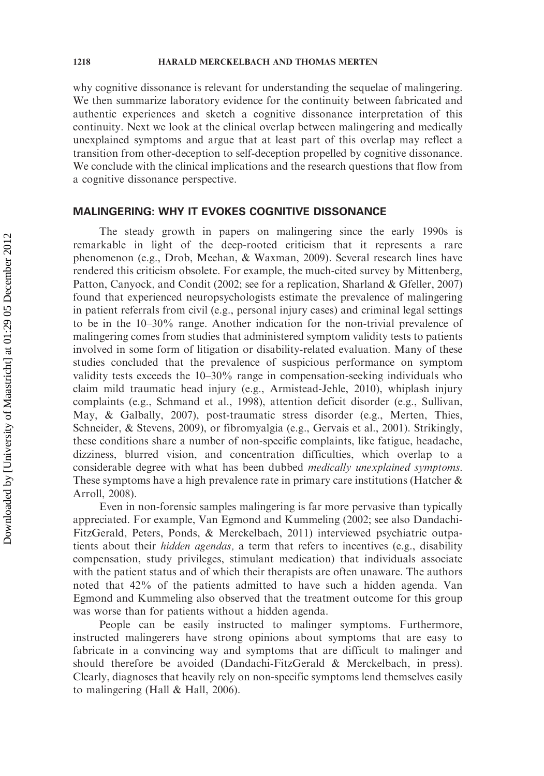why cognitive dissonance is relevant for understanding the sequelae of malingering. We then summarize laboratory evidence for the continuity between fabricated and authentic experiences and sketch a cognitive dissonance interpretation of this continuity. Next we look at the clinical overlap between malingering and medically unexplained symptoms and argue that at least part of this overlap may reflect a transition from other-deception to self-deception propelled by cognitive dissonance. We conclude with the clinical implications and the research questions that flow from a cognitive dissonance perspective.

# MALINGERING: WHY IT EVOKES COGNITIVE DISSONANCE

The steady growth in papers on malingering since the early 1990s is remarkable in light of the deep-rooted criticism that it represents a rare phenomenon (e.g., Drob, Meehan, & Waxman, 2009). Several research lines have rendered this criticism obsolete. For example, the much-cited survey by Mittenberg, Patton, Canyock, and Condit (2002; see for a replication, Sharland & Gfeller, 2007) found that experienced neuropsychologists estimate the prevalence of malingering in patient referrals from civil (e.g., personal injury cases) and criminal legal settings to be in the 10–30% range. Another indication for the non-trivial prevalence of malingering comes from studies that administered symptom validity tests to patients involved in some form of litigation or disability-related evaluation. Many of these studies concluded that the prevalence of suspicious performance on symptom validity tests exceeds the 10–30% range in compensation-seeking individuals who claim mild traumatic head injury (e.g., Armistead-Jehle, 2010), whiplash injury complaints (e.g., Schmand et al., 1998), attention deficit disorder (e.g., Sullivan, May, & Galbally, 2007), post-traumatic stress disorder (e.g., Merten, Thies, Schneider, & Stevens, 2009), or fibromyalgia (e.g., Gervais et al., 2001). Strikingly, these conditions share a number of non-specific complaints, like fatigue, headache, dizziness, blurred vision, and concentration difficulties, which overlap to a considerable degree with what has been dubbed medically unexplained symptoms. These symptoms have a high prevalence rate in primary care institutions (Hatcher & Arroll, 2008).

Even in non-forensic samples malingering is far more pervasive than typically appreciated. For example, Van Egmond and Kummeling (2002; see also Dandachi-FitzGerald, Peters, Ponds, & Merckelbach, 2011) interviewed psychiatric outpatients about their hidden agendas, a term that refers to incentives (e.g., disability compensation, study privileges, stimulant medication) that individuals associate with the patient status and of which their therapists are often unaware. The authors noted that 42% of the patients admitted to have such a hidden agenda. Van Egmond and Kummeling also observed that the treatment outcome for this group was worse than for patients without a hidden agenda.

People can be easily instructed to malinger symptoms. Furthermore, instructed malingerers have strong opinions about symptoms that are easy to fabricate in a convincing way and symptoms that are difficult to malinger and should therefore be avoided (Dandachi-FitzGerald & Merckelbach, in press). Clearly, diagnoses that heavily rely on non-specific symptoms lend themselves easily to malingering (Hall & Hall, 2006).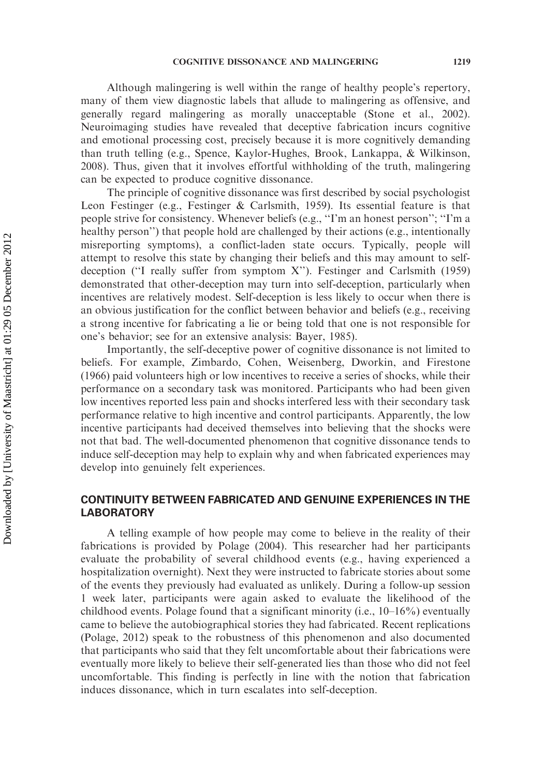Although malingering is well within the range of healthy people's repertory, many of them view diagnostic labels that allude to malingering as offensive, and generally regard malingering as morally unacceptable (Stone et al., 2002). Neuroimaging studies have revealed that deceptive fabrication incurs cognitive and emotional processing cost, precisely because it is more cognitively demanding than truth telling (e.g., Spence, Kaylor-Hughes, Brook, Lankappa, & Wilkinson, 2008). Thus, given that it involves effortful withholding of the truth, malingering can be expected to produce cognitive dissonance.

The principle of cognitive dissonance was first described by social psychologist Leon Festinger (e.g., Festinger & Carlsmith, 1959). Its essential feature is that people strive for consistency. Whenever beliefs (e.g., ''I'm an honest person''; ''I'm a healthy person'') that people hold are challenged by their actions (e.g., intentionally misreporting symptoms), a conflict-laden state occurs. Typically, people will attempt to resolve this state by changing their beliefs and this may amount to selfdeception (''I really suffer from symptom X''). Festinger and Carlsmith (1959) demonstrated that other-deception may turn into self-deception, particularly when incentives are relatively modest. Self-deception is less likely to occur when there is an obvious justification for the conflict between behavior and beliefs (e.g., receiving a strong incentive for fabricating a lie or being told that one is not responsible for one's behavior; see for an extensive analysis: Bayer, 1985).

Importantly, the self-deceptive power of cognitive dissonance is not limited to beliefs. For example, Zimbardo, Cohen, Weisenberg, Dworkin, and Firestone (1966) paid volunteers high or low incentives to receive a series of shocks, while their performance on a secondary task was monitored. Participants who had been given low incentives reported less pain and shocks interfered less with their secondary task performance relative to high incentive and control participants. Apparently, the low incentive participants had deceived themselves into believing that the shocks were not that bad. The well-documented phenomenon that cognitive dissonance tends to induce self-deception may help to explain why and when fabricated experiences may develop into genuinely felt experiences.

# CONTINUITY BETWEEN FABRICATED AND GENUINE EXPERIENCES IN THE **LABORATORY**

A telling example of how people may come to believe in the reality of their fabrications is provided by Polage (2004). This researcher had her participants evaluate the probability of several childhood events (e.g., having experienced a hospitalization overnight). Next they were instructed to fabricate stories about some of the events they previously had evaluated as unlikely. During a follow-up session 1 week later, participants were again asked to evaluate the likelihood of the childhood events. Polage found that a significant minority (i.e., 10–16%) eventually came to believe the autobiographical stories they had fabricated. Recent replications (Polage, 2012) speak to the robustness of this phenomenon and also documented that participants who said that they felt uncomfortable about their fabrications were eventually more likely to believe their self-generated lies than those who did not feel uncomfortable. This finding is perfectly in line with the notion that fabrication induces dissonance, which in turn escalates into self-deception.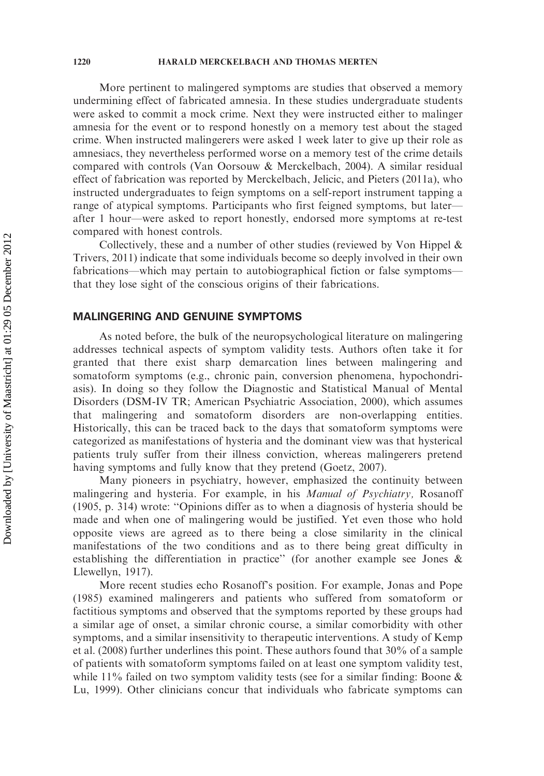#### 1220 HARALD MERCKELBACH AND THOMAS MERTEN

More pertinent to malingered symptoms are studies that observed a memory undermining effect of fabricated amnesia. In these studies undergraduate students were asked to commit a mock crime. Next they were instructed either to malinger amnesia for the event or to respond honestly on a memory test about the staged crime. When instructed malingerers were asked 1 week later to give up their role as amnesiacs, they nevertheless performed worse on a memory test of the crime details compared with controls (Van Oorsouw & Merckelbach, 2004). A similar residual effect of fabrication was reported by Merckelbach, Jelicic, and Pieters (2011a), who instructed undergraduates to feign symptoms on a self-report instrument tapping a range of atypical symptoms. Participants who first feigned symptoms, but later after 1 hour—were asked to report honestly, endorsed more symptoms at re-test compared with honest controls.

Collectively, these and a number of other studies (reviewed by Von Hippel & Trivers, 2011) indicate that some individuals become so deeply involved in their own fabrications—which may pertain to autobiographical fiction or false symptoms that they lose sight of the conscious origins of their fabrications.

# MALINGERING AND GENUINE SYMPTOMS

As noted before, the bulk of the neuropsychological literature on malingering addresses technical aspects of symptom validity tests. Authors often take it for granted that there exist sharp demarcation lines between malingering and somatoform symptoms (e.g., chronic pain, conversion phenomena, hypochondriasis). In doing so they follow the Diagnostic and Statistical Manual of Mental Disorders (DSM-IV TR; American Psychiatric Association, 2000), which assumes that malingering and somatoform disorders are non-overlapping entities. Historically, this can be traced back to the days that somatoform symptoms were categorized as manifestations of hysteria and the dominant view was that hysterical patients truly suffer from their illness conviction, whereas malingerers pretend having symptoms and fully know that they pretend (Goetz, 2007).

Many pioneers in psychiatry, however, emphasized the continuity between malingering and hysteria. For example, in his *Manual of Psychiatry*, Rosanoff (1905, p. 314) wrote: ''Opinions differ as to when a diagnosis of hysteria should be made and when one of malingering would be justified. Yet even those who hold opposite views are agreed as to there being a close similarity in the clinical manifestations of the two conditions and as to there being great difficulty in establishing the differentiation in practice'' (for another example see Jones & Llewellyn, 1917).

More recent studies echo Rosanoff's position. For example, Jonas and Pope (1985) examined malingerers and patients who suffered from somatoform or factitious symptoms and observed that the symptoms reported by these groups had a similar age of onset, a similar chronic course, a similar comorbidity with other symptoms, and a similar insensitivity to therapeutic interventions. A study of Kemp et al. (2008) further underlines this point. These authors found that 30% of a sample of patients with somatoform symptoms failed on at least one symptom validity test, while 11% failed on two symptom validity tests (see for a similar finding: Boone  $\&$ Lu, 1999). Other clinicians concur that individuals who fabricate symptoms can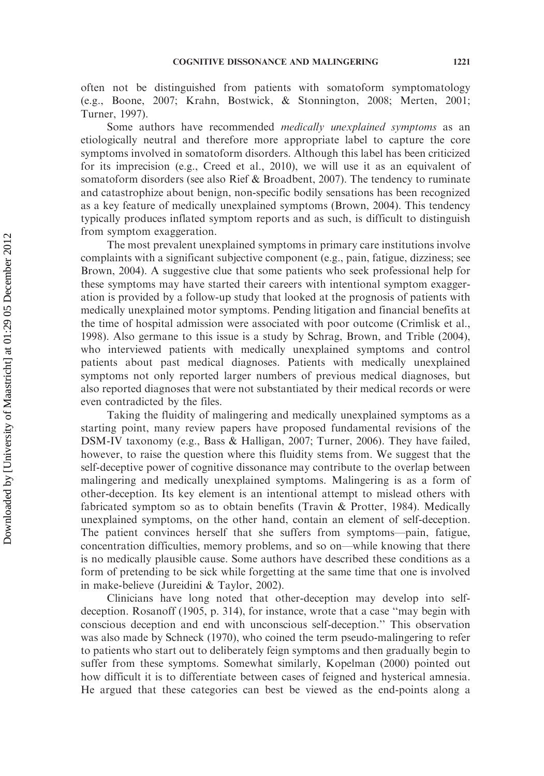often not be distinguished from patients with somatoform symptomatology (e.g., Boone, 2007; Krahn, Bostwick, & Stonnington, 2008; Merten, 2001; Turner, 1997).

Some authors have recommended *medically unexplained symptoms* as an etiologically neutral and therefore more appropriate label to capture the core symptoms involved in somatoform disorders. Although this label has been criticized for its imprecision (e.g., Creed et al., 2010), we will use it as an equivalent of somatoform disorders (see also Rief & Broadbent, 2007). The tendency to ruminate and catastrophize about benign, non-specific bodily sensations has been recognized as a key feature of medically unexplained symptoms (Brown, 2004). This tendency typically produces inflated symptom reports and as such, is difficult to distinguish from symptom exaggeration.

The most prevalent unexplained symptoms in primary care institutions involve complaints with a significant subjective component (e.g., pain, fatigue, dizziness; see Brown, 2004). A suggestive clue that some patients who seek professional help for these symptoms may have started their careers with intentional symptom exaggeration is provided by a follow-up study that looked at the prognosis of patients with medically unexplained motor symptoms. Pending litigation and financial benefits at the time of hospital admission were associated with poor outcome (Crimlisk et al., 1998). Also germane to this issue is a study by Schrag, Brown, and Trible (2004), who interviewed patients with medically unexplained symptoms and control patients about past medical diagnoses. Patients with medically unexplained symptoms not only reported larger numbers of previous medical diagnoses, but also reported diagnoses that were not substantiated by their medical records or were even contradicted by the files.

Taking the fluidity of malingering and medically unexplained symptoms as a starting point, many review papers have proposed fundamental revisions of the DSM-IV taxonomy (e.g., Bass & Halligan, 2007; Turner, 2006). They have failed, however, to raise the question where this fluidity stems from. We suggest that the self-deceptive power of cognitive dissonance may contribute to the overlap between malingering and medically unexplained symptoms. Malingering is as a form of other-deception. Its key element is an intentional attempt to mislead others with fabricated symptom so as to obtain benefits (Travin & Protter, 1984). Medically unexplained symptoms, on the other hand, contain an element of self-deception. The patient convinces herself that she suffers from symptoms—pain, fatigue, concentration difficulties, memory problems, and so on—while knowing that there is no medically plausible cause. Some authors have described these conditions as a form of pretending to be sick while forgetting at the same time that one is involved in make-believe (Jureidini & Taylor, 2002).

Clinicians have long noted that other-deception may develop into selfdeception. Rosanoff (1905, p. 314), for instance, wrote that a case ''may begin with conscious deception and end with unconscious self-deception.'' This observation was also made by Schneck (1970), who coined the term pseudo-malingering to refer to patients who start out to deliberately feign symptoms and then gradually begin to suffer from these symptoms. Somewhat similarly, Kopelman (2000) pointed out how difficult it is to differentiate between cases of feigned and hysterical amnesia. He argued that these categories can best be viewed as the end-points along a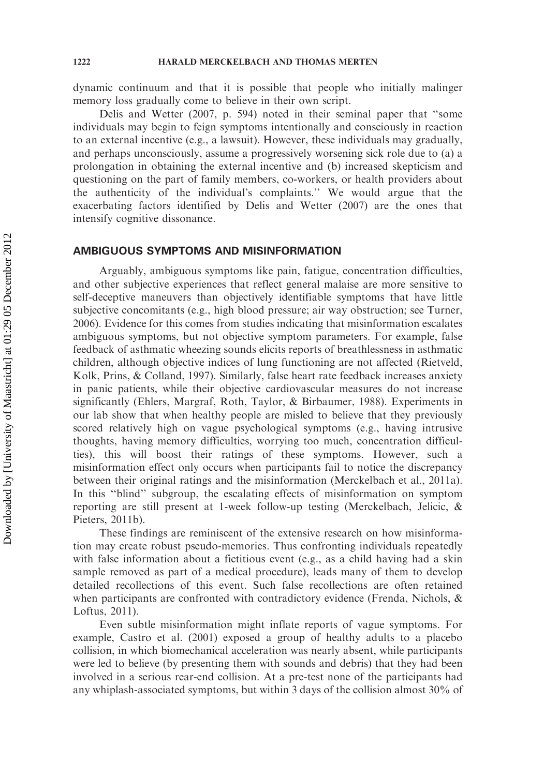dynamic continuum and that it is possible that people who initially malinger memory loss gradually come to believe in their own script.

Delis and Wetter (2007, p. 594) noted in their seminal paper that ''some individuals may begin to feign symptoms intentionally and consciously in reaction to an external incentive (e.g., a lawsuit). However, these individuals may gradually, and perhaps unconsciously, assume a progressively worsening sick role due to (a) a prolongation in obtaining the external incentive and (b) increased skepticism and questioning on the part of family members, co-workers, or health providers about the authenticity of the individual's complaints.'' We would argue that the exacerbating factors identified by Delis and Wetter (2007) are the ones that intensify cognitive dissonance.

# AMBIGUOUS SYMPTOMS AND MISINFORMATION

Arguably, ambiguous symptoms like pain, fatigue, concentration difficulties, and other subjective experiences that reflect general malaise are more sensitive to self-deceptive maneuvers than objectively identifiable symptoms that have little subjective concomitants (e.g., high blood pressure; air way obstruction; see Turner, 2006). Evidence for this comes from studies indicating that misinformation escalates ambiguous symptoms, but not objective symptom parameters. For example, false feedback of asthmatic wheezing sounds elicits reports of breathlessness in asthmatic children, although objective indices of lung functioning are not affected (Rietveld, Kolk, Prins, & Colland, 1997). Similarly, false heart rate feedback increases anxiety in panic patients, while their objective cardiovascular measures do not increase significantly (Ehlers, Margraf, Roth, Taylor, & Birbaumer, 1988). Experiments in our lab show that when healthy people are misled to believe that they previously scored relatively high on vague psychological symptoms (e.g., having intrusive thoughts, having memory difficulties, worrying too much, concentration difficulties), this will boost their ratings of these symptoms. However, such a misinformation effect only occurs when participants fail to notice the discrepancy between their original ratings and the misinformation (Merckelbach et al., 2011a). In this ''blind'' subgroup, the escalating effects of misinformation on symptom reporting are still present at 1-week follow-up testing (Merckelbach, Jelicic, & Pieters, 2011b).

These findings are reminiscent of the extensive research on how misinformation may create robust pseudo-memories. Thus confronting individuals repeatedly with false information about a fictitious event (e.g., as a child having had a skin sample removed as part of a medical procedure), leads many of them to develop detailed recollections of this event. Such false recollections are often retained when participants are confronted with contradictory evidence (Frenda, Nichols, & Loftus, 2011).

Even subtle misinformation might inflate reports of vague symptoms. For example, Castro et al. (2001) exposed a group of healthy adults to a placebo collision, in which biomechanical acceleration was nearly absent, while participants were led to believe (by presenting them with sounds and debris) that they had been involved in a serious rear-end collision. At a pre-test none of the participants had any whiplash-associated symptoms, but within 3 days of the collision almost 30% of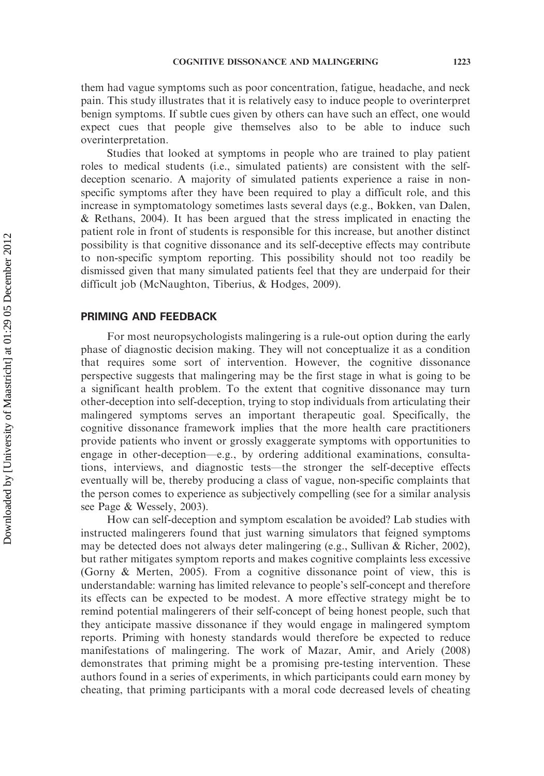them had vague symptoms such as poor concentration, fatigue, headache, and neck pain. This study illustrates that it is relatively easy to induce people to overinterpret benign symptoms. If subtle cues given by others can have such an effect, one would expect cues that people give themselves also to be able to induce such overinterpretation.

Studies that looked at symptoms in people who are trained to play patient roles to medical students (i.e., simulated patients) are consistent with the selfdeception scenario. A majority of simulated patients experience a raise in nonspecific symptoms after they have been required to play a difficult role, and this increase in symptomatology sometimes lasts several days (e.g., Bokken, van Dalen, & Rethans, 2004). It has been argued that the stress implicated in enacting the patient role in front of students is responsible for this increase, but another distinct possibility is that cognitive dissonance and its self-deceptive effects may contribute to non-specific symptom reporting. This possibility should not too readily be dismissed given that many simulated patients feel that they are underpaid for their difficult job (McNaughton, Tiberius, & Hodges, 2009).

## PRIMING AND FEEDBACK

For most neuropsychologists malingering is a rule-out option during the early phase of diagnostic decision making. They will not conceptualize it as a condition that requires some sort of intervention. However, the cognitive dissonance perspective suggests that malingering may be the first stage in what is going to be a significant health problem. To the extent that cognitive dissonance may turn other-deception into self-deception, trying to stop individuals from articulating their malingered symptoms serves an important therapeutic goal. Specifically, the cognitive dissonance framework implies that the more health care practitioners provide patients who invent or grossly exaggerate symptoms with opportunities to engage in other-deception—e.g., by ordering additional examinations, consultations, interviews, and diagnostic tests—the stronger the self-deceptive effects eventually will be, thereby producing a class of vague, non-specific complaints that the person comes to experience as subjectively compelling (see for a similar analysis see Page & Wessely, 2003).

How can self-deception and symptom escalation be avoided? Lab studies with instructed malingerers found that just warning simulators that feigned symptoms may be detected does not always deter malingering (e.g., Sullivan & Richer, 2002), but rather mitigates symptom reports and makes cognitive complaints less excessive (Gorny & Merten, 2005). From a cognitive dissonance point of view, this is understandable: warning has limited relevance to people's self-concept and therefore its effects can be expected to be modest. A more effective strategy might be to remind potential malingerers of their self-concept of being honest people, such that they anticipate massive dissonance if they would engage in malingered symptom reports. Priming with honesty standards would therefore be expected to reduce manifestations of malingering. The work of Mazar, Amir, and Ariely (2008) demonstrates that priming might be a promising pre-testing intervention. These authors found in a series of experiments, in which participants could earn money by cheating, that priming participants with a moral code decreased levels of cheating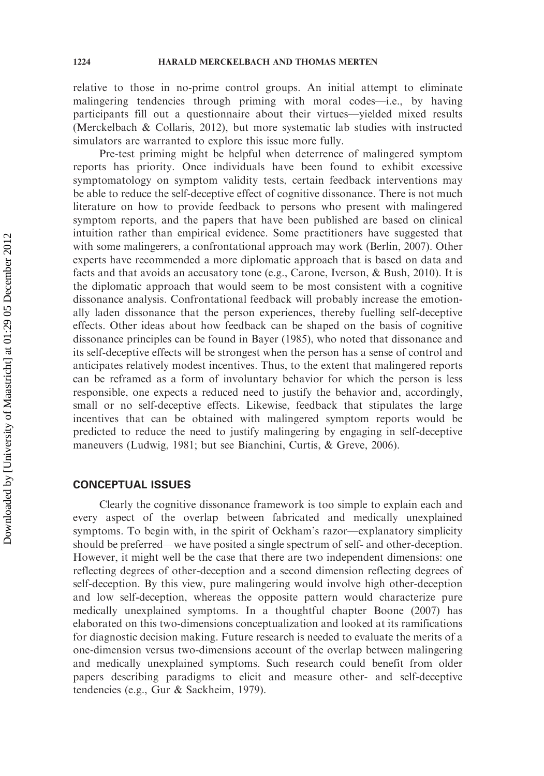relative to those in no-prime control groups. An initial attempt to eliminate malingering tendencies through priming with moral codes—i.e., by having participants fill out a questionnaire about their virtues—yielded mixed results (Merckelbach & Collaris, 2012), but more systematic lab studies with instructed simulators are warranted to explore this issue more fully.

Pre-test priming might be helpful when deterrence of malingered symptom reports has priority. Once individuals have been found to exhibit excessive symptomatology on symptom validity tests, certain feedback interventions may be able to reduce the self-deceptive effect of cognitive dissonance. There is not much literature on how to provide feedback to persons who present with malingered symptom reports, and the papers that have been published are based on clinical intuition rather than empirical evidence. Some practitioners have suggested that with some malingerers, a confrontational approach may work (Berlin, 2007). Other experts have recommended a more diplomatic approach that is based on data and facts and that avoids an accusatory tone (e.g., Carone, Iverson, & Bush, 2010). It is the diplomatic approach that would seem to be most consistent with a cognitive dissonance analysis. Confrontational feedback will probably increase the emotionally laden dissonance that the person experiences, thereby fuelling self-deceptive effects. Other ideas about how feedback can be shaped on the basis of cognitive dissonance principles can be found in Bayer (1985), who noted that dissonance and its self-deceptive effects will be strongest when the person has a sense of control and anticipates relatively modest incentives. Thus, to the extent that malingered reports can be reframed as a form of involuntary behavior for which the person is less responsible, one expects a reduced need to justify the behavior and, accordingly, small or no self-deceptive effects. Likewise, feedback that stipulates the large incentives that can be obtained with malingered symptom reports would be predicted to reduce the need to justify malingering by engaging in self-deceptive maneuvers (Ludwig, 1981; but see Bianchini, Curtis, & Greve, 2006).

## CONCEPTUAL ISSUES

Clearly the cognitive dissonance framework is too simple to explain each and every aspect of the overlap between fabricated and medically unexplained symptoms. To begin with, in the spirit of Ockham's razor—explanatory simplicity should be preferred—we have posited a single spectrum of self- and other-deception. However, it might well be the case that there are two independent dimensions: one reflecting degrees of other-deception and a second dimension reflecting degrees of self-deception. By this view, pure malingering would involve high other-deception and low self-deception, whereas the opposite pattern would characterize pure medically unexplained symptoms. In a thoughtful chapter Boone (2007) has elaborated on this two-dimensions conceptualization and looked at its ramifications for diagnostic decision making. Future research is needed to evaluate the merits of a one-dimension versus two-dimensions account of the overlap between malingering and medically unexplained symptoms. Such research could benefit from older papers describing paradigms to elicit and measure other- and self-deceptive tendencies (e.g., Gur & Sackheim, 1979).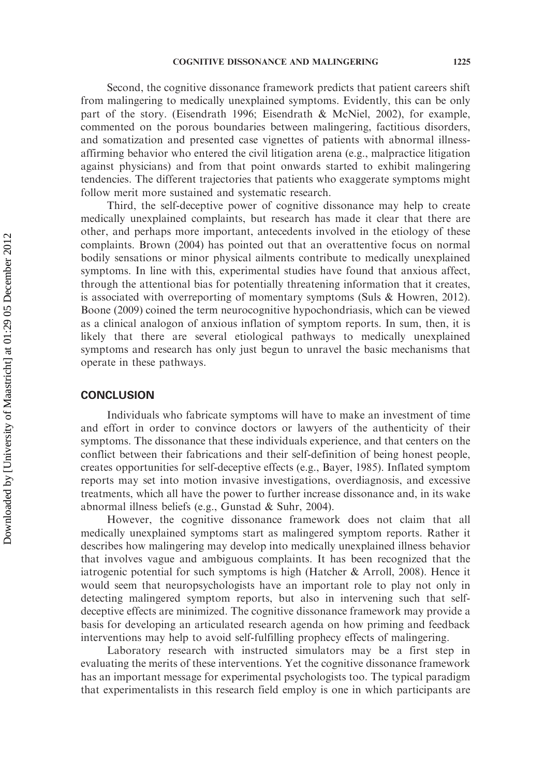Second, the cognitive dissonance framework predicts that patient careers shift from malingering to medically unexplained symptoms. Evidently, this can be only part of the story. (Eisendrath 1996; Eisendrath & McNiel, 2002), for example, commented on the porous boundaries between malingering, factitious disorders, and somatization and presented case vignettes of patients with abnormal illnessaffirming behavior who entered the civil litigation arena (e.g., malpractice litigation against physicians) and from that point onwards started to exhibit malingering tendencies. The different trajectories that patients who exaggerate symptoms might follow merit more sustained and systematic research.

Third, the self-deceptive power of cognitive dissonance may help to create medically unexplained complaints, but research has made it clear that there are other, and perhaps more important, antecedents involved in the etiology of these complaints. Brown (2004) has pointed out that an overattentive focus on normal bodily sensations or minor physical ailments contribute to medically unexplained symptoms. In line with this, experimental studies have found that anxious affect, through the attentional bias for potentially threatening information that it creates, is associated with overreporting of momentary symptoms (Suls & Howren, 2012). Boone (2009) coined the term neurocognitive hypochondriasis, which can be viewed as a clinical analogon of anxious inflation of symptom reports. In sum, then, it is likely that there are several etiological pathways to medically unexplained symptoms and research has only just begun to unravel the basic mechanisms that operate in these pathways.

## **CONCLUSION**

Individuals who fabricate symptoms will have to make an investment of time and effort in order to convince doctors or lawyers of the authenticity of their symptoms. The dissonance that these individuals experience, and that centers on the conflict between their fabrications and their self-definition of being honest people, creates opportunities for self-deceptive effects (e.g., Bayer, 1985). Inflated symptom reports may set into motion invasive investigations, overdiagnosis, and excessive treatments, which all have the power to further increase dissonance and, in its wake abnormal illness beliefs (e.g., Gunstad & Suhr, 2004).

However, the cognitive dissonance framework does not claim that all medically unexplained symptoms start as malingered symptom reports. Rather it describes how malingering may develop into medically unexplained illness behavior that involves vague and ambiguous complaints. It has been recognized that the iatrogenic potential for such symptoms is high (Hatcher & Arroll, 2008). Hence it would seem that neuropsychologists have an important role to play not only in detecting malingered symptom reports, but also in intervening such that selfdeceptive effects are minimized. The cognitive dissonance framework may provide a basis for developing an articulated research agenda on how priming and feedback interventions may help to avoid self-fulfilling prophecy effects of malingering.

Laboratory research with instructed simulators may be a first step in evaluating the merits of these interventions. Yet the cognitive dissonance framework has an important message for experimental psychologists too. The typical paradigm that experimentalists in this research field employ is one in which participants are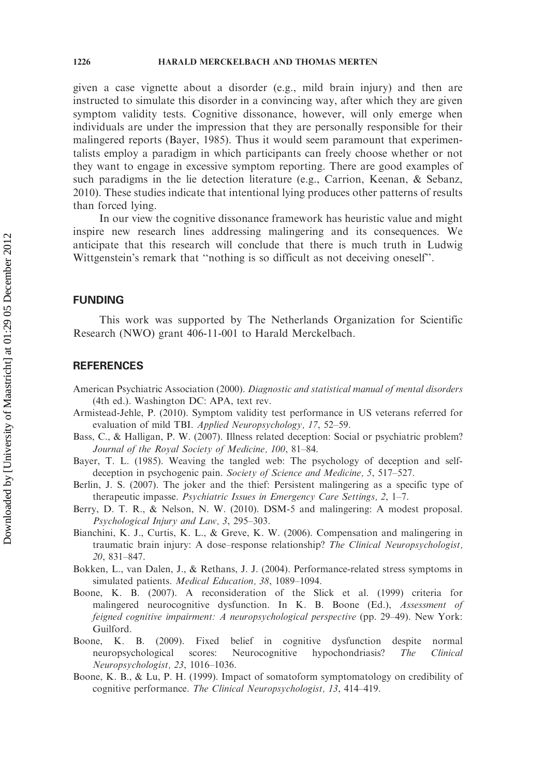given a case vignette about a disorder (e.g., mild brain injury) and then are instructed to simulate this disorder in a convincing way, after which they are given symptom validity tests. Cognitive dissonance, however, will only emerge when individuals are under the impression that they are personally responsible for their malingered reports (Bayer, 1985). Thus it would seem paramount that experimentalists employ a paradigm in which participants can freely choose whether or not they want to engage in excessive symptom reporting. There are good examples of such paradigms in the lie detection literature (e.g., Carrion, Keenan, & Sebanz, 2010). These studies indicate that intentional lying produces other patterns of results than forced lying.

In our view the cognitive dissonance framework has heuristic value and might inspire new research lines addressing malingering and its consequences. We anticipate that this research will conclude that there is much truth in Ludwig Wittgenstein's remark that ''nothing is so difficult as not deceiving oneself''.

### FUNDING

This work was supported by The Netherlands Organization for Scientific Research (NWO) grant 406-11-001 to Harald Merckelbach.

## **REFERENCES**

- American Psychiatric Association (2000). Diagnostic and statistical manual of mental disorders (4th ed.). Washington DC: APA, text rev.
- Armistead-Jehle, P. (2010). Symptom validity test performance in US veterans referred for evaluation of mild TBI. Applied Neuropsychology, 17, 52–59.
- Bass, C., & Halligan, P. W. (2007). Illness related deception: Social or psychiatric problem? Journal of the Royal Society of Medicine, 100, 81–84.
- Bayer, T. L. (1985). Weaving the tangled web: The psychology of deception and selfdeception in psychogenic pain. Society of Science and Medicine, 5, 517–527.
- Berlin, J. S. (2007). The joker and the thief: Persistent malingering as a specific type of therapeutic impasse. Psychiatric Issues in Emergency Care Settings, 2, 1–7.
- Berry, D. T. R., & Nelson, N. W. (2010). DSM-5 and malingering: A modest proposal. Psychological Injury and Law, 3, 295–303.
- Bianchini, K. J., Curtis, K. L., & Greve, K. W. (2006). Compensation and malingering in traumatic brain injury: A dose–response relationship? The Clinical Neuropsychologist, 20, 831–847.
- Bokken, L., van Dalen, J., & Rethans, J. J. (2004). Performance-related stress symptoms in simulated patients. Medical Education, 38, 1089–1094.
- Boone, K. B. (2007). A reconsideration of the Slick et al. (1999) criteria for malingered neurocognitive dysfunction. In K. B. Boone (Ed.), Assessment of feigned cognitive impairment: A neuropsychological perspective (pp. 29–49). New York: Guilford.
- Boone, K. B. (2009). Fixed belief in cognitive dysfunction despite normal neuropsychological scores: Neurocognitive hypochondriasis? The Clinical Neuropsychologist, 23, 1016–1036.
- Boone, K. B., & Lu, P. H. (1999). Impact of somatoform symptomatology on credibility of cognitive performance. The Clinical Neuropsychologist, 13, 414–419.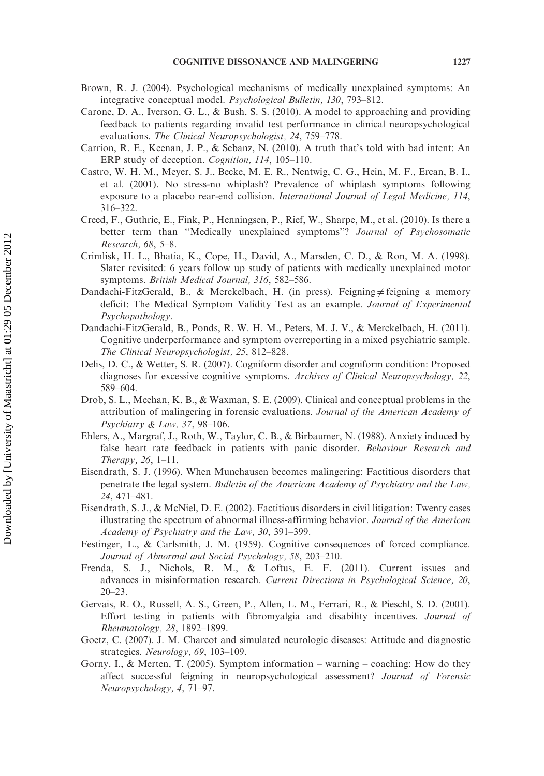- Brown, R. J. (2004). Psychological mechanisms of medically unexplained symptoms: An integrative conceptual model. Psychological Bulletin, 130, 793–812.
- Carone, D. A., Iverson, G. L., & Bush, S. S. (2010). A model to approaching and providing feedback to patients regarding invalid test performance in clinical neuropsychological evaluations. The Clinical Neuropsychologist, 24, 759–778.
- Carrion, R. E., Keenan, J. P., & Sebanz, N. (2010). A truth that's told with bad intent: An ERP study of deception. Cognition, 114, 105–110.
- Castro, W. H. M., Meyer, S. J., Becke, M. E. R., Nentwig, C. G., Hein, M. F., Ercan, B. I., et al. (2001). No stress-no whiplash? Prevalence of whiplash symptoms following exposure to a placebo rear-end collision. International Journal of Legal Medicine, 114, 316–322.
- Creed, F., Guthrie, E., Fink, P., Henningsen, P., Rief, W., Sharpe, M., et al. (2010). Is there a better term than "Medically unexplained symptoms"? Journal of Psychosomatic Research, 68, 5–8.
- Crimlisk, H. L., Bhatia, K., Cope, H., David, A., Marsden, C. D., & Ron, M. A. (1998). Slater revisited: 6 years follow up study of patients with medically unexplained motor symptoms. British Medical Journal, 316, 582–586.
- Dandachi-FitzGerald, B., & Merckelbach, H. (in press). Feigning  $\neq$  feigning a memory deficit: The Medical Symptom Validity Test as an example. Journal of Experimental Psychopathology.
- Dandachi-FitzGerald, B., Ponds, R. W. H. M., Peters, M. J. V., & Merckelbach, H. (2011). Cognitive underperformance and symptom overreporting in a mixed psychiatric sample. The Clinical Neuropsychologist, 25, 812–828.
- Delis, D. C., & Wetter, S. R. (2007). Cogniform disorder and cogniform condition: Proposed diagnoses for excessive cognitive symptoms. Archives of Clinical Neuropsychology, 22, 589–604.
- Drob, S. L., Meehan, K. B., & Waxman, S. E. (2009). Clinical and conceptual problems in the attribution of malingering in forensic evaluations. Journal of the American Academy of Psychiatry & Law, 37, 98–106.
- Ehlers, A., Margraf, J., Roth, W., Taylor, C. B., & Birbaumer, N. (1988). Anxiety induced by false heart rate feedback in patients with panic disorder. Behaviour Research and Therapy, 26, 1–11.
- Eisendrath, S. J. (1996). When Munchausen becomes malingering: Factitious disorders that penetrate the legal system. Bulletin of the American Academy of Psychiatry and the Law, 24, 471–481.
- Eisendrath, S. J., & McNiel, D. E. (2002). Factitious disorders in civil litigation: Twenty cases illustrating the spectrum of abnormal illness-affirming behavior. Journal of the American Academy of Psychiatry and the Law, 30, 391–399.
- Festinger, L., & Carlsmith, J. M. (1959). Cognitive consequences of forced compliance. Journal of Abnormal and Social Psychology, 58, 203–210.
- Frenda, S. J., Nichols, R. M., & Loftus, E. F. (2011). Current issues and advances in misinformation research. Current Directions in Psychological Science, 20, 20–23.
- Gervais, R. O., Russell, A. S., Green, P., Allen, L. M., Ferrari, R., & Pieschl, S. D. (2001). Effort testing in patients with fibromyalgia and disability incentives. Journal of Rheumatology, 28, 1892–1899.
- Goetz, C. (2007). J. M. Charcot and simulated neurologic diseases: Attitude and diagnostic strategies. Neurology, 69, 103–109.
- Gorny, I., & Merten, T. (2005). Symptom information warning coaching: How do they affect successful feigning in neuropsychological assessment? Journal of Forensic Neuropsychology, 4, 71–97.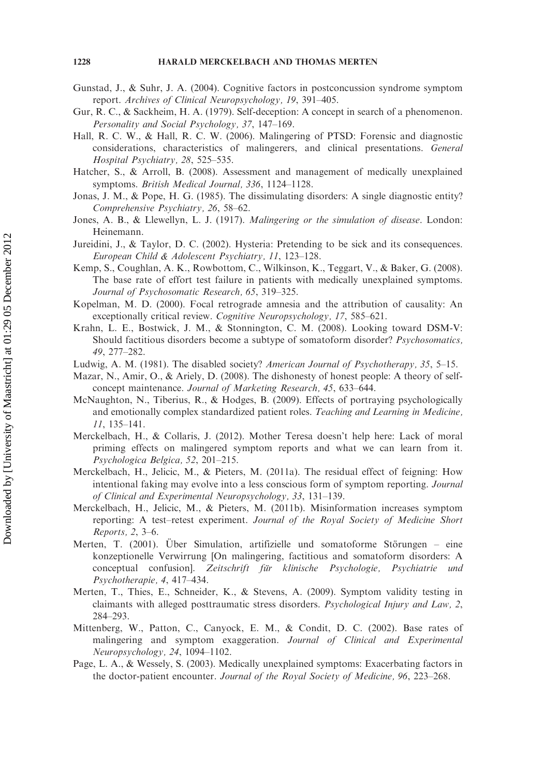- Gunstad, J., & Suhr, J. A. (2004). Cognitive factors in postconcussion syndrome symptom report. Archives of Clinical Neuropsychology, 19, 391–405.
- Gur, R. C., & Sackheim, H. A. (1979). Self-deception: A concept in search of a phenomenon. Personality and Social Psychology, 37, 147–169.
- Hall, R. C. W., & Hall, R. C. W. (2006). Malingering of PTSD: Forensic and diagnostic considerations, characteristics of malingerers, and clinical presentations. General Hospital Psychiatry, 28, 525–535.
- Hatcher, S., & Arroll, B. (2008). Assessment and management of medically unexplained symptoms. British Medical Journal, 336, 1124–1128.
- Jonas, J. M., & Pope, H. G. (1985). The dissimulating disorders: A single diagnostic entity? Comprehensive Psychiatry, 26, 58–62.
- Jones, A. B., & Llewellyn, L. J. (1917). Malingering or the simulation of disease. London: Heinemann.
- Jureidini, J., & Taylor, D. C. (2002). Hysteria: Pretending to be sick and its consequences. European Child & Adolescent Psychiatry, 11, 123–128.
- Kemp, S., Coughlan, A. K., Rowbottom, C., Wilkinson, K., Teggart, V., & Baker, G. (2008). The base rate of effort test failure in patients with medically unexplained symptoms. Journal of Psychosomatic Research, 65, 319–325.
- Kopelman, M. D. (2000). Focal retrograde amnesia and the attribution of causality: An exceptionally critical review. Cognitive Neuropsychology, 17, 585–621.
- Krahn, L. E., Bostwick, J. M., & Stonnington, C. M. (2008). Looking toward DSM-V: Should factitious disorders become a subtype of somatoform disorder? Psychosomatics, 49, 277–282.
- Ludwig, A. M. (1981). The disabled society? American Journal of Psychotherapy, 35, 5–15.
- Mazar, N., Amir, O., & Ariely, D. (2008). The dishonesty of honest people: A theory of selfconcept maintenance. Journal of Marketing Research, 45, 633–644.
- McNaughton, N., Tiberius, R., & Hodges, B. (2009). Effects of portraying psychologically and emotionally complex standardized patient roles. Teaching and Learning in Medicine, 11, 135–141.
- Merckelbach, H., & Collaris, J. (2012). Mother Teresa doesn't help here: Lack of moral priming effects on malingered symptom reports and what we can learn from it. Psychologica Belgica, 52, 201–215.
- Merckelbach, H., Jelicic, M., & Pieters, M. (2011a). The residual effect of feigning: How intentional faking may evolve into a less conscious form of symptom reporting. Journal of Clinical and Experimental Neuropsychology, 33, 131–139.
- Merckelbach, H., Jelicic, M., & Pieters, M. (2011b). Misinformation increases symptom reporting: A test–retest experiment. Journal of the Royal Society of Medicine Short Reports, 2, 3–6.
- Merten, T. (2001). Über Simulation, artifizielle und somatoforme Störungen eine konzeptionelle Verwirrung [On malingering, factitious and somatoform disorders: A conceptual confusion]. Zeitschrift für klinische Psychologie, Psychiatrie Psychotherapie, 4, 417–434.
- Merten, T., Thies, E., Schneider, K., & Stevens, A. (2009). Symptom validity testing in claimants with alleged posttraumatic stress disorders. Psychological Injury and Law, 2, 284–293.
- Mittenberg, W., Patton, C., Canyock, E. M., & Condit, D. C. (2002). Base rates of malingering and symptom exaggeration. Journal of Clinical and Experimental Neuropsychology, 24, 1094–1102.
- Page, L. A., & Wessely, S. (2003). Medically unexplained symptoms: Exacerbating factors in the doctor-patient encounter. Journal of the Royal Society of Medicine, 96, 223–268.